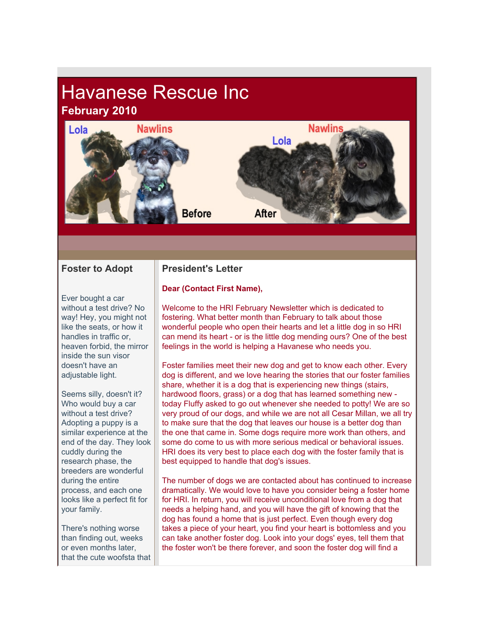# Havanese Rescue Inc **February 2010**



#### **Foster to Adopt**

Ever bought a car without a test drive? No way! Hey, you might not like the seats, or how it handles in traffic or heaven forbid, the mirror inside the sun visor doesn't have an adjustable light.

Seems silly, doesn't it? Who would buy a car without a test drive? Adopting a puppy is a similar experience at the end of the day. They look cuddly during the research phase, the breeders are wonderful during the entire process, and each one looks like a perfect fit for your family.

There's nothing worse than finding out, weeks or even months later, that the cute woofsta that

## **President's Letter**

#### **Dear (Contact First Name),**

Welcome to the HRI February Newsletter which is dedicated to fostering. What better month than February to talk about those wonderful people who open their hearts and let a little dog in so HRI can mend its heart - or is the little dog mending ours? One of the best feelings in the world is helping a Havanese who needs you.

Foster families meet their new dog and get to know each other. Every dog is different, and we love hearing the stories that our foster families share, whether it is a dog that is experiencing new things (stairs, hardwood floors, grass) or a dog that has learned something new today Fluffy asked to go out whenever she needed to potty! We are so very proud of our dogs, and while we are not all Cesar Millan, we all try to make sure that the dog that leaves our house is a better dog than the one that came in. Some dogs require more work than others, and some do come to us with more serious medical or behavioral issues. HRI does its very best to place each dog with the foster family that is best equipped to handle that dog's issues.

The number of dogs we are contacted about has continued to increase dramatically. We would love to have you consider being a foster home for HRI. In return, you will receive unconditional love from a dog that needs a helping hand, and you will have the gift of knowing that the dog has found a home that is just perfect. Even though every dog takes a piece of your heart, you find your heart is bottomless and you can take another foster dog. Look into your dogs' eyes, tell them that the foster won't be there forever, and soon the foster dog will find a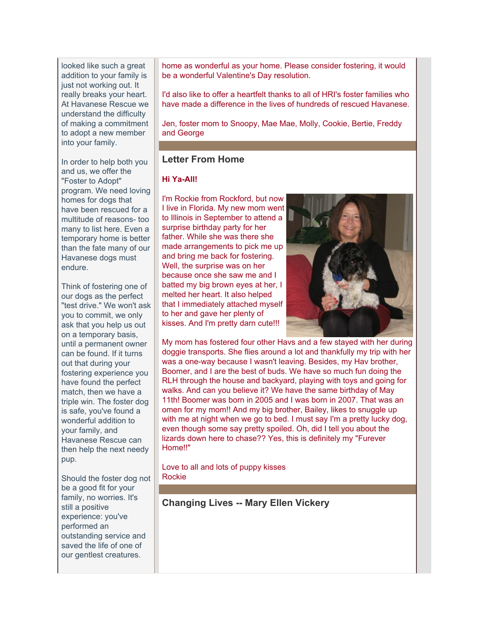looked like such a great addition to your family is just not working out. It really breaks your heart. At Havanese Rescue we understand the difficulty of making a commitment to adopt a new member into your family.

In order to help both you and us, we offer the "Foster to Adopt" program. We need loving homes for dogs that have been rescued for a multitude of reasons- too many to list here. Even a temporary home is better than the fate many of our Havanese dogs must endure.

Think of fostering one of our dogs as the perfect "test drive." We won't ask you to commit, we only ask that you help us out on a temporary basis, until a permanent owner can be found. If it turns out that during your fostering experience you have found the perfect match, then we have a triple win. The foster dog is safe, you've found a wonderful addition to your family, and Havanese Rescue can then help the next needy pup.

Should the foster dog not be a good fit for your family, no worries. It's still a positive experience: you've performed an outstanding service and saved the life of one of our gentlest creatures.

home as wonderful as your home. Please consider fostering, it would be a wonderful Valentine's Day resolution.

I'd also like to offer a heartfelt thanks to all of HRI's foster families who have made a difference in the lives of hundreds of rescued Havanese.

Jen, foster mom to Snoopy, Mae Mae, Molly, Cookie, Bertie, Freddy and George

#### **Letter From Home**

#### **Hi Ya-All!**

I'm Rockie from Rockford, but now I live in Florida. My new mom went to Illinois in September to attend a surprise birthday party for her father. While she was there she made arrangements to pick me up and bring me back for fostering. Well, the surprise was on her because once she saw me and I batted my big brown eyes at her, I melted her heart. It also helped that I immediately attached myself to her and gave her plenty of kisses. And I'm pretty darn cute!!!



My mom has fostered four other Havs and a few stayed with her during doggie transports. She flies around a lot and thankfully my trip with her was a one-way because I wasn't leaving. Besides, my Hav brother, Boomer, and I are the best of buds. We have so much fun doing the RLH through the house and backyard, playing with toys and going for walks. And can you believe it? We have the same birthday of May 11th! Boomer was born in 2005 and I was born in 2007. That was an omen for my mom!! And my big brother, Bailey, likes to snuggle up with me at night when we go to bed. I must say I'm a pretty lucky dog, even though some say pretty spoiled. Oh, did I tell you about the lizards down here to chase?? Yes, this is definitely my "Furever Home!!"

Love to all and lots of puppy kisses Rockie

**Changing Lives -- Mary Ellen Vickery**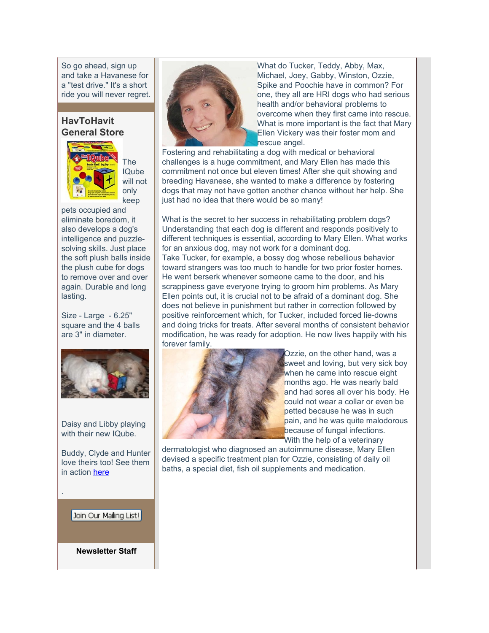So go ahead, sign up and take a Havanese for a "test drive." It's a short ride you will never regret.

## **HavToHavit General Store**



The IQube will not only keep

pets occupied and eliminate boredom, it also develops a dog's intelligence and puzzlesolving skills. Just place the soft plush balls inside the plush cube for dogs to remove over and over again. Durable and long lasting.

Size - Large - 6.25" square and the 4 balls are 3" in diameter.



Daisy and Libby playing with their new IQube.

Buddy, Clyde and Hunter love theirs too! See them in action [here](http://r20.rs6.net/tn.jsp?et=1103013234004&s=2126&e=001c6Yp42Q5NXYsIpaUKttqDplts0YyfRJucsya_VEZ7Ha58lPj_XnrHd8NVgnJ5Bno-iPyeGanV9YoKB-J3FY09KK9Zfah8UPmo4X4Ib0wwIx6Zj4qnT3wRlzyoCnpRTgt5WTmc7o8QaIIRAu4KDWBIA==)

#### Join Our Mailing List!

.

**Newsletter Staff**



What do Tucker, Teddy, Abby, Max, Michael, Joey, Gabby, Winston, Ozzie, Spike and Poochie have in common? For one, they all are HRI dogs who had serious health and/or behavioral problems to overcome when they first came into rescue. What is more important is the fact that Mary Ellen Vickery was their foster mom and rescue angel.

Fostering and rehabilitating a dog with medical or behavioral challenges is a huge commitment, and Mary Ellen has made this commitment not once but eleven times! After she quit showing and breeding Havanese, she wanted to make a difference by fostering dogs that may not have gotten another chance without her help. She just had no idea that there would be so many!

What is the secret to her success in rehabilitating problem dogs? Understanding that each dog is different and responds positively to different techniques is essential, according to Mary Ellen. What works for an anxious dog, may not work for a dominant dog. Take Tucker, for example, a bossy dog whose rebellious behavior toward strangers was too much to handle for two prior foster homes. He went berserk whenever someone came to the door, and his scrappiness gave everyone trying to groom him problems. As Mary Ellen points out, it is crucial not to be afraid of a dominant dog. She does not believe in punishment but rather in correction followed by positive reinforcement which, for Tucker, included forced lie-downs and doing tricks for treats. After several months of consistent behavior modification, he was ready for adoption. He now lives happily with his forever family.



Ozzie, on the other hand, was a sweet and loving, but very sick boy when he came into rescue eight months ago. He was nearly bald and had sores all over his body. He could not wear a collar or even be petted because he was in such pain, and he was quite malodorous because of fungal infections. With the help of a veterinary

dermatologist who diagnosed an autoimmune disease, Mary Ellen devised a specific treatment plan for Ozzie, consisting of daily oil baths, a special diet, fish oil supplements and medication.